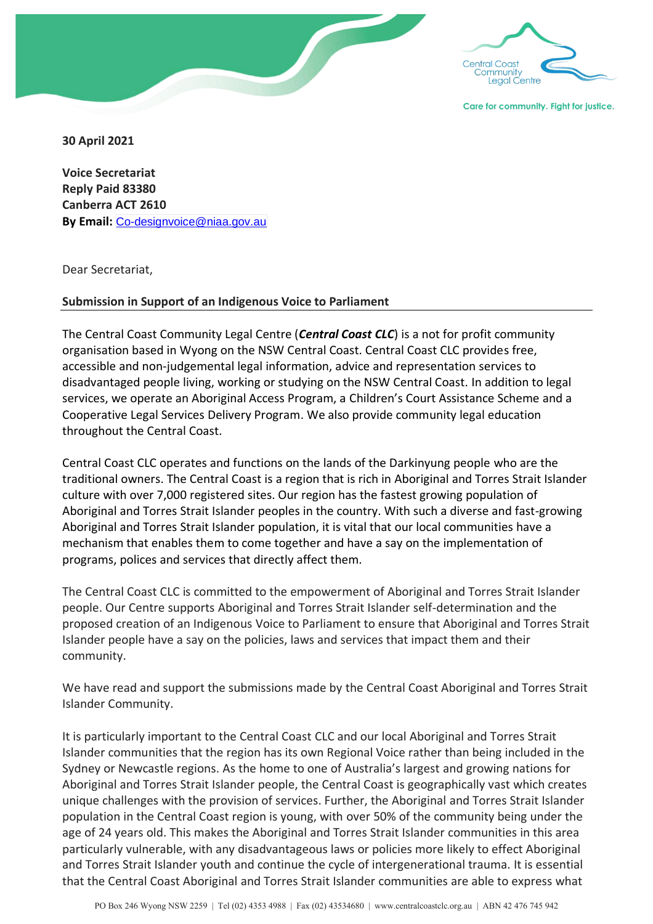

**30 April 2021**

**Voice Secretariat Reply Paid 83380 Canberra ACT 2610 By Email:** [Co-designvoice@niaa.gov.au](mailto:Co-designvoice@niaa.gov.au)

Dear Secretariat,

## **Submission in Support of an Indigenous Voice to Parliament**

The Central Coast Community Legal Centre (*Central Coast CLC*) is a not for profit community organisation based in Wyong on the NSW Central Coast. Central Coast CLC provides free, accessible and non-judgemental legal information, advice and representation services to disadvantaged people living, working or studying on the NSW Central Coast. In addition to legal services, we operate an Aboriginal Access Program, a Children's Court Assistance Scheme and a Cooperative Legal Services Delivery Program. We also provide community legal education throughout the Central Coast.

Central Coast CLC operates and functions on the lands of the Darkinyung people who are the traditional owners. The Central Coast is a region that is rich in Aboriginal and Torres Strait Islander culture with over 7,000 registered sites. Our region has the fastest growing population of Aboriginal and Torres Strait Islander peoples in the country. With such a diverse and fast-growing Aboriginal and Torres Strait Islander population, it is vital that our local communities have a mechanism that enables them to come together and have a say on the implementation of programs, polices and services that directly affect them.

The Central Coast CLC is committed to the empowerment of Aboriginal and Torres Strait Islander people. Our Centre supports Aboriginal and Torres Strait Islander self-determination and the proposed creation of an Indigenous Voice to Parliament to ensure that Aboriginal and Torres Strait Islander people have a say on the policies, laws and services that impact them and their community.

We have read and support the submissions made by the Central Coast Aboriginal and Torres Strait Islander Community.

It is particularly important to the Central Coast CLC and our local Aboriginal and Torres Strait Islander communities that the region has its own Regional Voice rather than being included in the Sydney or Newcastle regions. As the home to one of Australia's largest and growing nations for Aboriginal and Torres Strait Islander people, the Central Coast is geographically vast which creates unique challenges with the provision of services. Further, the Aboriginal and Torres Strait Islander population in the Central Coast region is young, with over 50% of the community being under the age of 24 years old. This makes the Aboriginal and Torres Strait Islander communities in this area particularly vulnerable, with any disadvantageous laws or policies more likely to effect Aboriginal and Torres Strait Islander youth and continue the cycle of intergenerational trauma. It is essential that the Central Coast Aboriginal and Torres Strait Islander communities are able to express what